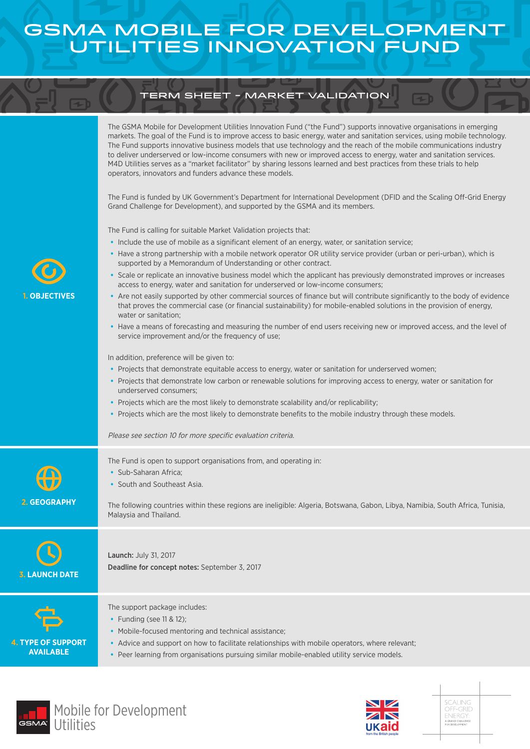## GSMA Mobile for Development Utilities Innovation Fund

## term sheet - Market Validation

| <b>OBJECTIVES</b>                             | The GSMA Mobile for Development Utilities Innovation Fund ("the Fund") supports innovative organisations in emerging<br>markets. The goal of the Fund is to improve access to basic energy, water and sanitation services, using mobile technology.<br>The Fund supports innovative business models that use technology and the reach of the mobile communications industry<br>to deliver underserved or low-income consumers with new or improved access to energy, water and sanitation services.<br>M4D Utilities serves as a "market facilitator" by sharing lessons learned and best practices from these trials to help<br>operators, innovators and funders advance these models.<br>The Fund is funded by UK Government's Department for International Development (DFID and the Scaling Off-Grid Energy<br>Grand Challenge for Development), and supported by the GSMA and its members.<br>The Fund is calling for suitable Market Validation projects that:<br>• Include the use of mobile as a significant element of an energy, water, or sanitation service;<br>• Have a strong partnership with a mobile network operator OR utility service provider (urban or peri-urban), which is<br>supported by a Memorandum of Understanding or other contract.<br>• Scale or replicate an innovative business model which the applicant has previously demonstrated improves or increases<br>access to energy, water and sanitation for underserved or low-income consumers;<br>• Are not easily supported by other commercial sources of finance but will contribute significantly to the body of evidence<br>that proves the commercial case (or financial sustainability) for mobile-enabled solutions in the provision of energy,<br>water or sanitation;<br>• Have a means of forecasting and measuring the number of end users receiving new or improved access, and the level of<br>service improvement and/or the frequency of use;<br>In addition, preference will be given to:<br>• Projects that demonstrate equitable access to energy, water or sanitation for underserved women;<br>• Projects that demonstrate low carbon or renewable solutions for improving access to energy, water or sanitation for<br>underserved consumers:<br>• Projects which are the most likely to demonstrate scalability and/or replicability;<br>. Projects which are the most likely to demonstrate benefits to the mobile industry through these models.<br>Please see section 10 for more specific evaluation criteria. |
|-----------------------------------------------|-------------------------------------------------------------------------------------------------------------------------------------------------------------------------------------------------------------------------------------------------------------------------------------------------------------------------------------------------------------------------------------------------------------------------------------------------------------------------------------------------------------------------------------------------------------------------------------------------------------------------------------------------------------------------------------------------------------------------------------------------------------------------------------------------------------------------------------------------------------------------------------------------------------------------------------------------------------------------------------------------------------------------------------------------------------------------------------------------------------------------------------------------------------------------------------------------------------------------------------------------------------------------------------------------------------------------------------------------------------------------------------------------------------------------------------------------------------------------------------------------------------------------------------------------------------------------------------------------------------------------------------------------------------------------------------------------------------------------------------------------------------------------------------------------------------------------------------------------------------------------------------------------------------------------------------------------------------------------------------------------------------------------------------------------------------------------------------------------------------------------------------------------------------------------------------------------------------------------------------------------------------------------------------------------------------------------------------------------------------------------------------------------------------------------------------------------------------------------------------------------------------------------------|
| 2. GEOGRAPHY                                  | The Fund is open to support organisations from, and operating in:<br>· Sub-Saharan Africa;<br>• South and Southeast Asia.<br>The following countries within these regions are ineligible: Algeria, Botswana, Gabon, Libya, Namibia, South Africa, Tunisia,<br>Malaysia and Thailand.                                                                                                                                                                                                                                                                                                                                                                                                                                                                                                                                                                                                                                                                                                                                                                                                                                                                                                                                                                                                                                                                                                                                                                                                                                                                                                                                                                                                                                                                                                                                                                                                                                                                                                                                                                                                                                                                                                                                                                                                                                                                                                                                                                                                                                          |
| <b>3. LAUNCH DATE</b>                         | <b>Launch: July 31, 2017</b><br>Deadline for concept notes: September 3, 2017                                                                                                                                                                                                                                                                                                                                                                                                                                                                                                                                                                                                                                                                                                                                                                                                                                                                                                                                                                                                                                                                                                                                                                                                                                                                                                                                                                                                                                                                                                                                                                                                                                                                                                                                                                                                                                                                                                                                                                                                                                                                                                                                                                                                                                                                                                                                                                                                                                                 |
| <b>4. TYPE OF SUPPORT</b><br><b>AVAILABLE</b> | The support package includes:<br>• Funding (see 11 & 12);<br>• Mobile-focused mentoring and technical assistance;<br>• Advice and support on how to facilitate relationships with mobile operators, where relevant;<br>• Peer learning from organisations pursuing similar mobile-enabled utility service models.                                                                                                                                                                                                                                                                                                                                                                                                                                                                                                                                                                                                                                                                                                                                                                                                                                                                                                                                                                                                                                                                                                                                                                                                                                                                                                                                                                                                                                                                                                                                                                                                                                                                                                                                                                                                                                                                                                                                                                                                                                                                                                                                                                                                             |





SCALING<br>OFF-GRID<br>ENERGY:<br>agrand.chalenge<br>for.development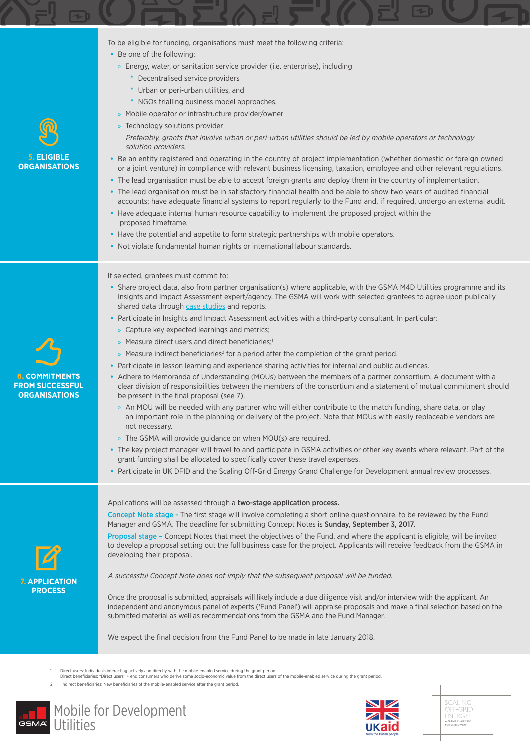To be eligible for funding, organisations must meet the following criteria:

- **•** Be one of the following:
	- » Energy, water, or sanitation service provider (i.e. enterprise), including
		- **\*** Decentralised service providers
		- **\*** Urban or peri-urban utilities, and
		- **\*** NGOs trialling business model approaches,
	- » Mobile operator or infrastructure provider/owner
- » Technology solutions provider Preferably, grants that involve urban or peri-urban utilities should be led by mobile operators or technology solution providers.
- **•** Be an entity registered and operating in the country of project implementation (whether domestic or foreign owned or a joint venture) in compliance with relevant business licensing, taxation, employee and other relevant regulations.
- **•** The lead organisation must be able to accept foreign grants and deploy them in the country of implementation.
- **•** The lead organisation must be in satisfactory financial health and be able to show two years of audited financial accounts; have adequate financial systems to report regularly to the Fund and, if required, undergo an external audit.
- **•** Have adequate internal human resource capability to implement the proposed project within the proposed timeframe.
- **•** Have the potential and appetite to form strategic partnerships with mobile operators.
- **•** Not violate fundamental human rights or international labour standards.

## If selected, grantees must commit to:

- **•** Share project data, also from partner organisation(s) where applicable, with the GSMA M4D Utilities programme and its Insights and Impact Assessment expert/agency. The GSMA will work with selected grantees to agree upon publically shared data through case studies and reports.
- **•** Participate in Insights and Impact Assessment activities with a third-party consultant. In particular:
	- » Capture key expected learnings and metrics;
	- » Measure direct users and direct beneficiaries;<sup>1</sup>
	- » Measure indirect beneficiaries<sup>2</sup> for a period after the completion of the grant period.
- **•** Participate in lesson learning and experience sharing activities for internal and public audiences.
- **•** Adhere to Memoranda of Understanding (MOUs) between the members of a partner consortium. A document with a clear division of responsibilities between the members of the consortium and a statement of mutual commitment should be present in the final proposal (see 7).
	- » An MOU will be needed with any partner who will either contribute to the match funding, share data, or play an important role in the planning or delivery of the project. Note that MOUs with easily replaceable vendors are not necessary.
	- » The GSMA will provide guidance on when MOU(s) are required.
- **•** The key project manager will travel to and participate in GSMA activities or other key events where relevant. Part of the grant funding shall be allocated to specifically cover these travel expenses.
- **•** Participate in UK DFID and the Scaling Off-Grid Energy Grand Challenge for Development annual review processes.



**6. COMMITMENTS FROM SUCCESSFUL ORGANISATIONS** 

**5. ELIGIBLE ORGANISATIONS**

## Applications will be assessed through a two-stage application process.

Concept Note stage - The first stage will involve completing a short online questionnaire, to be reviewed by the Fund Manager and GSMA. The deadline for submitting Concept Notes is Sunday, September 3, 2017.

Proposal stage – Concept Notes that meet the objectives of the Fund, and where the applicant is eligible, will be invited to develop a proposal setting out the full business case for the project. Applicants will receive feedback from the GSMA in developing their proposal.

A successful Concept Note does not imply that the subsequent proposal will be funded.

Once the proposal is submitted, appraisals will likely include a due diligence visit and/or interview with the applicant. An independent and anonymous panel of experts ('Fund Panel') will appraise proposals and make a final selection based on the submitted material as well as recommendations from the GSMA and the Fund Manager.

We expect the final decision from the Fund Panel to be made in late January 2018.

2. Indirect beneficiaries: New beneficiaries of the mobile-enabled service after the grant period.







<sup>1.</sup> Direct users: Individuals interacting actively and directly with the mobile-enabled service during the grant period.<br>Direct beneficiaries: "Direct users" + end consumers who derive some socio-economic value from the dir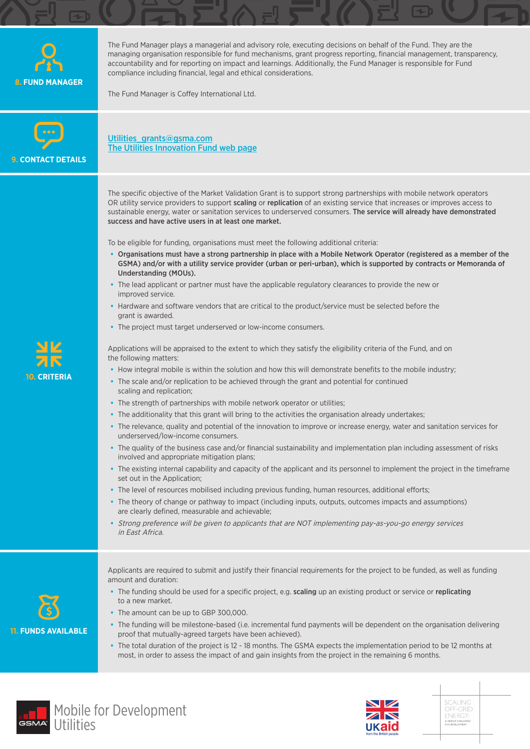| <b>8. FUND MANAGER</b>            | The Fund Manager plays a managerial and advisory role, executing decisions on behalf of the Fund. They are the<br>managing organisation responsible for fund mechanisms, grant progress reporting, financial management, transparency,<br>accountability and for reporting on impact and learnings. Additionally, the Fund Manager is responsible for Fund<br>compliance including financial, legal and ethical considerations.<br>The Fund Manager is Coffey International Ltd.                                                                                                                                                                                                                                                                                                                                                                                                                                                                                                                                                                                                                                                                                                                                                                                                                                                                                                                                                                                                                                                                                                                                                                                                                                                                                                                                                                                                                                                                                                                                                                                                                                                                                                                                                                                                                                                                                                                                                                                                                                                                                                                                                  |
|-----------------------------------|-----------------------------------------------------------------------------------------------------------------------------------------------------------------------------------------------------------------------------------------------------------------------------------------------------------------------------------------------------------------------------------------------------------------------------------------------------------------------------------------------------------------------------------------------------------------------------------------------------------------------------------------------------------------------------------------------------------------------------------------------------------------------------------------------------------------------------------------------------------------------------------------------------------------------------------------------------------------------------------------------------------------------------------------------------------------------------------------------------------------------------------------------------------------------------------------------------------------------------------------------------------------------------------------------------------------------------------------------------------------------------------------------------------------------------------------------------------------------------------------------------------------------------------------------------------------------------------------------------------------------------------------------------------------------------------------------------------------------------------------------------------------------------------------------------------------------------------------------------------------------------------------------------------------------------------------------------------------------------------------------------------------------------------------------------------------------------------------------------------------------------------------------------------------------------------------------------------------------------------------------------------------------------------------------------------------------------------------------------------------------------------------------------------------------------------------------------------------------------------------------------------------------------------------------------------------------------------------------------------------------------------|
| <b>9. CONTACT DETAILS</b>         | Utilities grants@gsma.com<br>The Utilities Innovation Fund web page                                                                                                                                                                                                                                                                                                                                                                                                                                                                                                                                                                                                                                                                                                                                                                                                                                                                                                                                                                                                                                                                                                                                                                                                                                                                                                                                                                                                                                                                                                                                                                                                                                                                                                                                                                                                                                                                                                                                                                                                                                                                                                                                                                                                                                                                                                                                                                                                                                                                                                                                                               |
| <u>я к</u><br><b>10. CRITERIA</b> | The specific objective of the Market Validation Grant is to support strong partnerships with mobile network operators<br>OR utility service providers to support scaling or replication of an existing service that increases or improves access to<br>sustainable energy, water or sanitation services to underserved consumers. The service will already have demonstrated<br>success and have active users in at least one market.<br>To be eligible for funding, organisations must meet the following additional criteria:<br>• Organisations must have a strong partnership in place with a Mobile Network Operator (registered as a member of the<br>GSMA) and/or with a utility service provider (urban or peri-urban), which is supported by contracts or Memoranda of<br>Understanding (MOUs).<br>• The lead applicant or partner must have the applicable regulatory clearances to provide the new or<br>improved service.<br>• Hardware and software vendors that are critical to the product/service must be selected before the<br>grant is awarded.<br>• The project must target underserved or low-income consumers.<br>Applications will be appraised to the extent to which they satisfy the eligibility criteria of the Fund, and on<br>the following matters:<br>• How integral mobile is within the solution and how this will demonstrate benefits to the mobile industry;<br>• The scale and/or replication to be achieved through the grant and potential for continued<br>scaling and replication;<br>• The strength of partnerships with mobile network operator or utilities;<br>• The additionality that this grant will bring to the activities the organisation already undertakes;<br>• The relevance, quality and potential of the innovation to improve or increase energy, water and sanitation services for<br>underserved/low-income consumers.<br>• The quality of the business case and/or financial sustainability and implementation plan including assessment of risks<br>involved and appropriate mitigation plans;<br>• The existing internal capability and capacity of the applicant and its personnel to implement the project in the timeframe<br>set out in the Application;<br>• The level of resources mobilised including previous funding, human resources, additional efforts;<br>• The theory of change or pathway to impact (including inputs, outputs, outcomes impacts and assumptions)<br>are clearly defined, measurable and achievable;<br>• Strong preference will be given to applicants that are NOT implementing pay-as-you-go energy services<br>in East Africa. |
| <b>11. FUNDS AVAILABLE</b>        | Applicants are required to submit and justify their financial requirements for the project to be funded, as well as funding<br>amount and duration:<br>• The funding should be used for a specific project, e.g. scaling up an existing product or service or replicating<br>to a new market.<br>• The amount can be up to GBP 300,000.<br>• The funding will be milestone-based (i.e. incremental fund payments will be dependent on the organisation delivering<br>proof that mutually-agreed targets have been achieved).<br>• The total duration of the project is 12 - 18 months. The GSMA expects the implementation period to be 12 months at<br>most, in order to assess the impact of and gain insights from the project in the remaining 6 months.                                                                                                                                                                                                                                                                                                                                                                                                                                                                                                                                                                                                                                                                                                                                                                                                                                                                                                                                                                                                                                                                                                                                                                                                                                                                                                                                                                                                                                                                                                                                                                                                                                                                                                                                                                                                                                                                      |





SCALING<br>OFF-GRID<br>ENERGY:<br>AGRAND CHALLENGE<br>FOR DEVELOPMENT